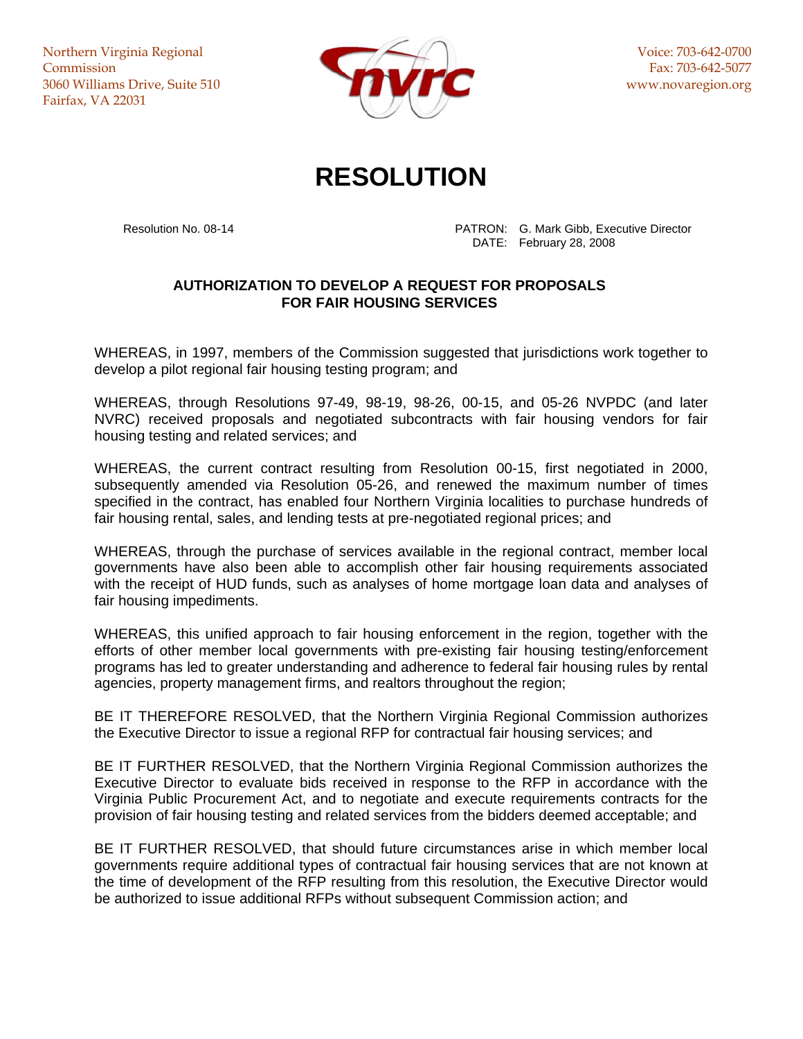Northern Virginia Regional **Commission** 3060 Williams Drive, Suite 510 Fairfax, VA 22031



Voice: 703-642-0700 Fax: 703-642-5077 www.novaregion.org

## **RESOLUTION**

 Resolution No. 08-14 PATRON: G. Mark Gibb, Executive Director DATE: February 28, 2008

## **AUTHORIZATION TO DEVELOP A REQUEST FOR PROPOSALS FOR FAIR HOUSING SERVICES**

WHEREAS, in 1997, members of the Commission suggested that jurisdictions work together to develop a pilot regional fair housing testing program; and

WHEREAS, through Resolutions 97-49, 98-19, 98-26, 00-15, and 05-26 NVPDC (and later NVRC) received proposals and negotiated subcontracts with fair housing vendors for fair housing testing and related services; and

WHEREAS, the current contract resulting from Resolution 00-15, first negotiated in 2000, subsequently amended via Resolution 05-26, and renewed the maximum number of times specified in the contract, has enabled four Northern Virginia localities to purchase hundreds of fair housing rental, sales, and lending tests at pre-negotiated regional prices; and

WHEREAS, through the purchase of services available in the regional contract, member local governments have also been able to accomplish other fair housing requirements associated with the receipt of HUD funds, such as analyses of home mortgage loan data and analyses of fair housing impediments.

WHEREAS, this unified approach to fair housing enforcement in the region, together with the efforts of other member local governments with pre-existing fair housing testing/enforcement programs has led to greater understanding and adherence to federal fair housing rules by rental agencies, property management firms, and realtors throughout the region;

BE IT THEREFORE RESOLVED, that the Northern Virginia Regional Commission authorizes the Executive Director to issue a regional RFP for contractual fair housing services; and

BE IT FURTHER RESOLVED, that the Northern Virginia Regional Commission authorizes the Executive Director to evaluate bids received in response to the RFP in accordance with the Virginia Public Procurement Act, and to negotiate and execute requirements contracts for the provision of fair housing testing and related services from the bidders deemed acceptable; and

BE IT FURTHER RESOLVED, that should future circumstances arise in which member local governments require additional types of contractual fair housing services that are not known at the time of development of the RFP resulting from this resolution, the Executive Director would be authorized to issue additional RFPs without subsequent Commission action; and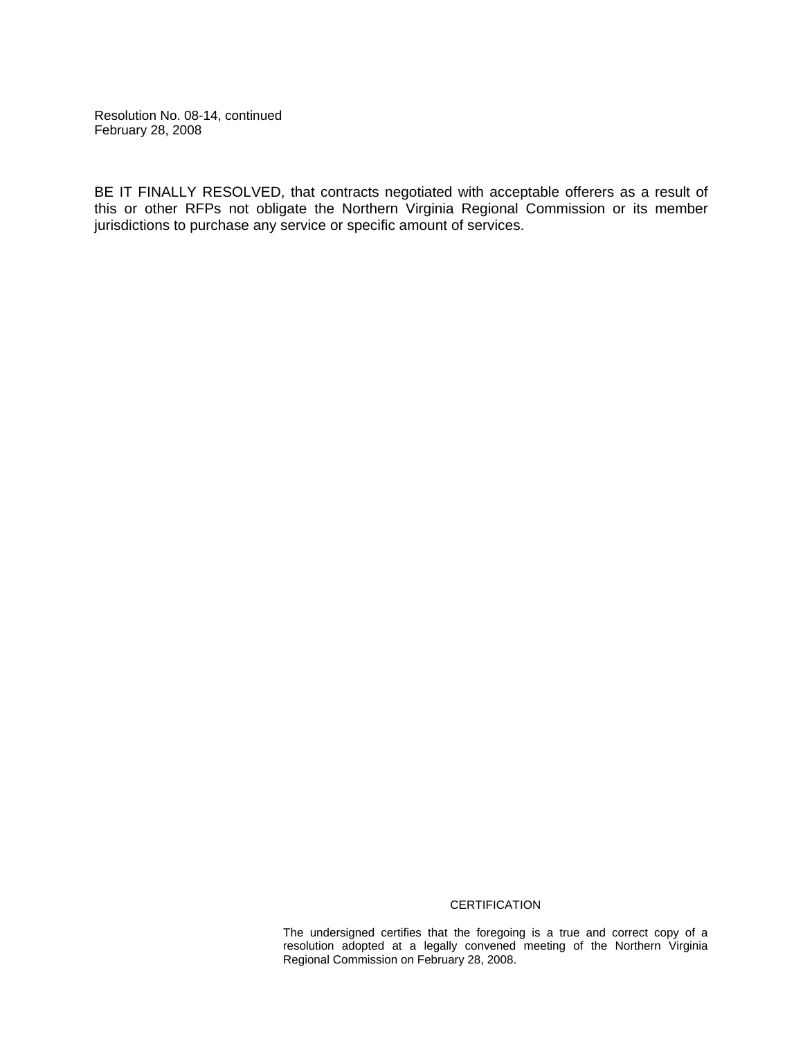Resolution No. 08-14, continued February 28, 2008

BE IT FINALLY RESOLVED, that contracts negotiated with acceptable offerers as a result of this or other RFPs not obligate the Northern Virginia Regional Commission or its member jurisdictions to purchase any service or specific amount of services.

## **CERTIFICATION**

The undersigned certifies that the foregoing is a true and correct copy of a resolution adopted at a legally convened meeting of the Northern Virginia Regional Commission on February 28, 2008.